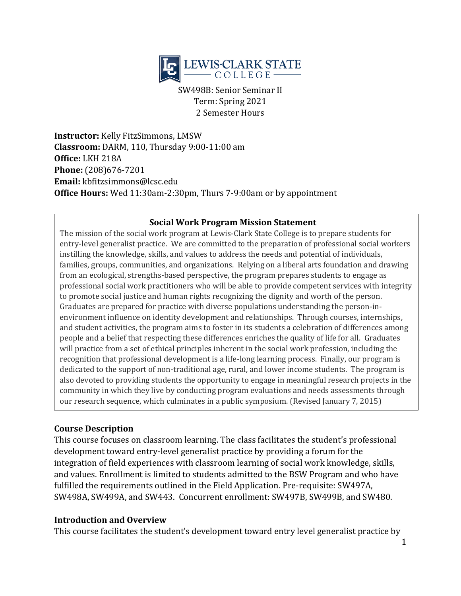

SW498B: Senior Seminar II Term: Spring 2021 2 Semester Hours

**Instructor:** Kelly FitzSimmons, LMSW **Classroom:** DARM, 110, Thursday 9:00-11:00 am **Office:** LKH 218A **Phone:** (208)676-7201 **Email:** kbfitzsimmons@lcsc.edu **Office Hours:** Wed 11:30am-2:30pm, Thurs 7-9:00am or by appointment

#### **Social Work Program Mission Statement**

The mission of the social work program at Lewis-Clark State College is to prepare students for entry-level generalist practice. We are committed to the preparation of professional social workers instilling the knowledge, skills, and values to address the needs and potential of individuals, families, groups, communities, and organizations. Relying on a liberal arts foundation and drawing from an ecological, strengths-based perspective, the program prepares students to engage as professional social work practitioners who will be able to provide competent services with integrity to promote social justice and human rights recognizing the dignity and worth of the person. Graduates are prepared for practice with diverse populations understanding the person-inenvironment influence on identity development and relationships. Through courses, internships, and student activities, the program aims to foster in its students a celebration of differences among people and a belief that respecting these differences enriches the quality of life for all. Graduates will practice from a set of ethical principles inherent in the social work profession, including the recognition that professional development is a life-long learning process. Finally, our program is dedicated to the support of non-traditional age, rural, and lower income students. The program is also devoted to providing students the opportunity to engage in meaningful research projects in the community in which they live by conducting program evaluations and needs assessments through our research sequence, which culminates in a public symposium. (Revised January 7, 2015)

#### **Course Description**

This course focuses on classroom learning. The class facilitates the student's professional development toward entry-level generalist practice by providing a forum for the integration of field experiences with classroom learning of social work knowledge, skills, and values. Enrollment is limited to students admitted to the BSW Program and who have fulfilled the requirements outlined in the Field Application. Pre-requisite: SW497A, SW498A, SW499A, and SW443. Concurrent enrollment: SW497B, SW499B, and SW480.

#### **Introduction and Overview**

This course facilitates the student's development toward entry level generalist practice by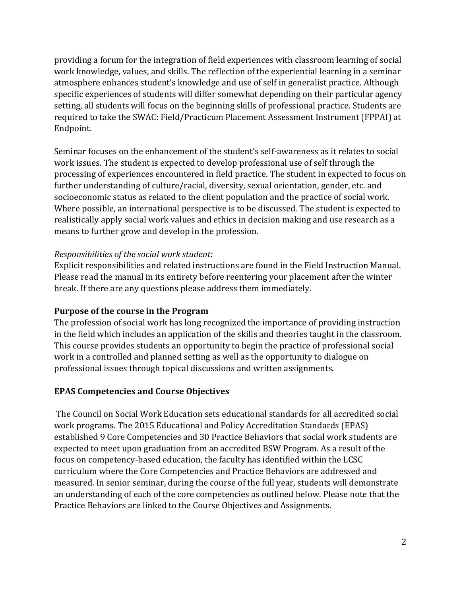providing a forum for the integration of field experiences with classroom learning of social work knowledge, values, and skills. The reflection of the experiential learning in a seminar atmosphere enhances student's knowledge and use of self in generalist practice. Although specific experiences of students will differ somewhat depending on their particular agency setting, all students will focus on the beginning skills of professional practice. Students are required to take the SWAC: Field/Practicum Placement Assessment Instrument (FPPAI) at Endpoint.

Seminar focuses on the enhancement of the student's self-awareness as it relates to social work issues. The student is expected to develop professional use of self through the processing of experiences encountered in field practice. The student in expected to focus on further understanding of culture/racial, diversity, sexual orientation, gender, etc. and socioeconomic status as related to the client population and the practice of social work. Where possible, an international perspective is to be discussed. The student is expected to realistically apply social work values and ethics in decision making and use research as a means to further grow and develop in the profession.

#### *Responsibilities of the social work student:*

Explicit responsibilities and related instructions are found in the Field Instruction Manual. Please read the manual in its entirety before reentering your placement after the winter break. If there are any questions please address them immediately.

#### **Purpose of the course in the Program**

The profession of social work has long recognized the importance of providing instruction in the field which includes an application of the skills and theories taught in the classroom. This course provides students an opportunity to begin the practice of professional social work in a controlled and planned setting as well as the opportunity to dialogue on professional issues through topical discussions and written assignments.

#### **EPAS Competencies and Course Objectives**

The Council on Social Work Education sets educational standards for all accredited social work programs. The 2015 Educational and Policy Accreditation Standards (EPAS) established 9 Core Competencies and 30 Practice Behaviors that social work students are expected to meet upon graduation from an accredited BSW Program. As a result of the focus on competency-based education, the faculty has identified within the LCSC curriculum where the Core Competencies and Practice Behaviors are addressed and measured. In senior seminar, during the course of the full year, students will demonstrate an understanding of each of the core competencies as outlined below. Please note that the Practice Behaviors are linked to the Course Objectives and Assignments.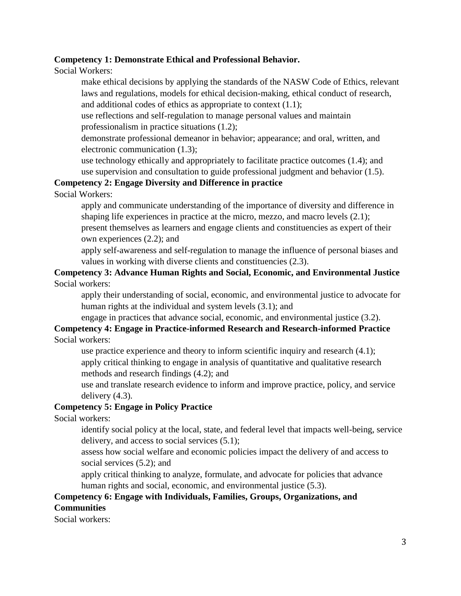#### **Competency 1: Demonstrate Ethical and Professional Behavior.**

Social Workers:

make ethical decisions by applying the standards of the NASW Code of Ethics, relevant laws and regulations, models for ethical decision-making, ethical conduct of research, and additional codes of ethics as appropriate to context (1.1);

use reflections and self-regulation to manage personal values and maintain professionalism in practice situations (1.2);

demonstrate professional demeanor in behavior; appearance; and oral, written, and electronic communication (1.3);

use technology ethically and appropriately to facilitate practice outcomes (1.4); and use supervision and consultation to guide professional judgment and behavior (1.5).

#### **Competency 2: Engage Diversity and Difference in practice**

Social Workers:

apply and communicate understanding of the importance of diversity and difference in shaping life experiences in practice at the micro, mezzo, and macro levels (2.1); present themselves as learners and engage clients and constituencies as expert of their own experiences (2.2); and

apply self-awareness and self-regulation to manage the influence of personal biases and values in working with diverse clients and constituencies (2.3).

# **Competency 3: Advance Human Rights and Social, Economic, and Environmental Justice**

### Social workers:

apply their understanding of social, economic, and environmental justice to advocate for human rights at the individual and system levels (3.1); and

engage in practices that advance social, economic, and environmental justice (3.2).

#### **Competency 4: Engage in Practice-informed Research and Research-informed Practice** Social workers:

use practice experience and theory to inform scientific inquiry and research (4.1); apply critical thinking to engage in analysis of quantitative and qualitative research methods and research findings (4.2); and

use and translate research evidence to inform and improve practice, policy, and service delivery (4.3).

### **Competency 5: Engage in Policy Practice**

Social workers:

identify social policy at the local, state, and federal level that impacts well-being, service delivery, and access to social services (5.1);

assess how social welfare and economic policies impact the delivery of and access to social services (5.2); and

apply critical thinking to analyze, formulate, and advocate for policies that advance human rights and social, economic, and environmental justice (5.3).

### **Competency 6: Engage with Individuals, Families, Groups, Organizations, and Communities**

Social workers: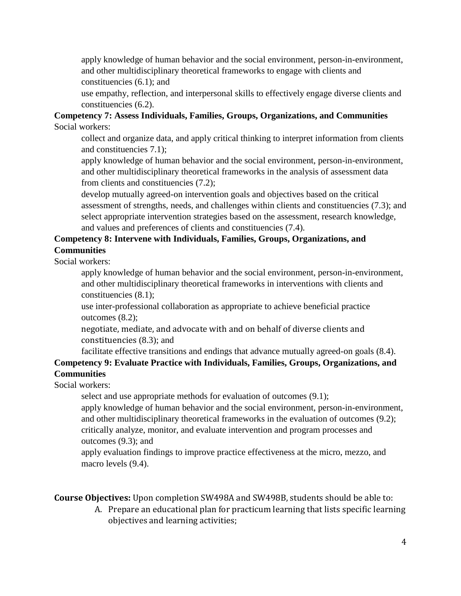apply knowledge of human behavior and the social environment, person-in-environment, and other multidisciplinary theoretical frameworks to engage with clients and

constituencies (6.1); and

use empathy, reflection, and interpersonal skills to effectively engage diverse clients and constituencies (6.2).

#### **Competency 7: Assess Individuals, Families, Groups, Organizations, and Communities** Social workers:

collect and organize data, and apply critical thinking to interpret information from clients and constituencies 7.1);

apply knowledge of human behavior and the social environment, person-in-environment, and other multidisciplinary theoretical frameworks in the analysis of assessment data from clients and constituencies (7.2);

develop mutually agreed-on intervention goals and objectives based on the critical assessment of strengths, needs, and challenges within clients and constituencies (7.3); and select appropriate intervention strategies based on the assessment, research knowledge, and values and preferences of clients and constituencies (7.4).

### **Competency 8: Intervene with Individuals, Families, Groups, Organizations, and Communities**

Social workers:

apply knowledge of human behavior and the social environment, person-in-environment, and other multidisciplinary theoretical frameworks in interventions with clients and constituencies (8.1);

use inter-professional collaboration as appropriate to achieve beneficial practice outcomes (8.2);

negotiate, mediate, and advocate with and on behalf of diverse clients and constituencies (8.3); and

### facilitate effective transitions and endings that advance mutually agreed-on goals (8.4). **Competency 9: Evaluate Practice with Individuals, Families, Groups, Organizations, and Communities**

Social workers:

select and use appropriate methods for evaluation of outcomes (9.1);

apply knowledge of human behavior and the social environment, person-in-environment, and other multidisciplinary theoretical frameworks in the evaluation of outcomes (9.2); critically analyze, monitor, and evaluate intervention and program processes and outcomes (9.3); and

apply evaluation findings to improve practice effectiveness at the micro, mezzo, and macro levels  $(9.4)$ .

**Course Objectives:** Upon completion SW498A and SW498B, students should be able to:

A. Prepare an educational plan for practicum learning that lists specific learning objectives and learning activities;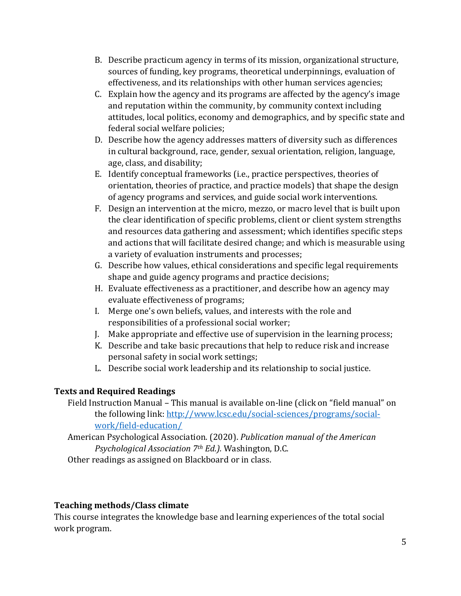- B. Describe practicum agency in terms of its mission, organizational structure, sources of funding, key programs, theoretical underpinnings, evaluation of effectiveness, and its relationships with other human services agencies;
- C. Explain how the agency and its programs are affected by the agency's image and reputation within the community, by community context including attitudes, local politics, economy and demographics, and by specific state and federal social welfare policies;
- D. Describe how the agency addresses matters of diversity such as differences in cultural background, race, gender, sexual orientation, religion, language, age, class, and disability;
- E. Identify conceptual frameworks (i.e., practice perspectives, theories of orientation, theories of practice, and practice models) that shape the design of agency programs and services, and guide social work interventions.
- F. Design an intervention at the micro, mezzo, or macro level that is built upon the clear identification of specific problems, client or client system strengths and resources data gathering and assessment; which identifies specific steps and actions that will facilitate desired change; and which is measurable using a variety of evaluation instruments and processes;
- G. Describe how values, ethical considerations and specific legal requirements shape and guide agency programs and practice decisions;
- H. Evaluate effectiveness as a practitioner, and describe how an agency may evaluate effectiveness of programs;
- I. Merge one's own beliefs, values, and interests with the role and responsibilities of a professional social worker;
- J. Make appropriate and effective use of supervision in the learning process;
- K. Describe and take basic precautions that help to reduce risk and increase personal safety in social work settings;
- L. Describe social work leadership and its relationship to social justice.

# **Texts and Required Readings**

Field Instruction Manual – This manual is available on-line (click on "field manual" on the following link: [http://www.lcsc.edu/social-sciences/programs/social](http://www.lcsc.edu/social-sciences/programs/social-work/field-education/)[work/field-education/](http://www.lcsc.edu/social-sciences/programs/social-work/field-education/)

American Psychological Association. (2020). *Publication manual of the American Psychological Association 7th Ed.).* Washington, D.C.

Other readings as assigned on Blackboard or in class.

### **Teaching methods/Class climate**

This course integrates the knowledge base and learning experiences of the total social work program.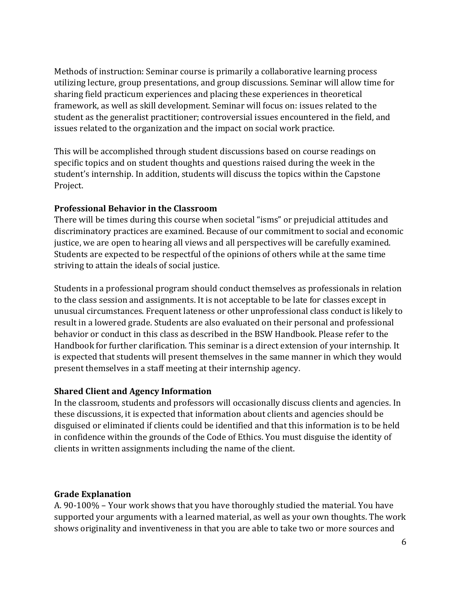Methods of instruction: Seminar course is primarily a collaborative learning process utilizing lecture, group presentations, and group discussions. Seminar will allow time for sharing field practicum experiences and placing these experiences in theoretical framework, as well as skill development. Seminar will focus on: issues related to the student as the generalist practitioner; controversial issues encountered in the field, and issues related to the organization and the impact on social work practice.

This will be accomplished through student discussions based on course readings on specific topics and on student thoughts and questions raised during the week in the student's internship. In addition, students will discuss the topics within the Capstone Project.

#### **Professional Behavior in the Classroom**

There will be times during this course when societal "isms" or prejudicial attitudes and discriminatory practices are examined. Because of our commitment to social and economic justice, we are open to hearing all views and all perspectives will be carefully examined. Students are expected to be respectful of the opinions of others while at the same time striving to attain the ideals of social justice.

Students in a professional program should conduct themselves as professionals in relation to the class session and assignments. It is not acceptable to be late for classes except in unusual circumstances. Frequent lateness or other unprofessional class conduct is likely to result in a lowered grade. Students are also evaluated on their personal and professional behavior or conduct in this class as described in the BSW Handbook. Please refer to the Handbook for further clarification. This seminar is a direct extension of your internship. It is expected that students will present themselves in the same manner in which they would present themselves in a staff meeting at their internship agency.

### **Shared Client and Agency Information**

In the classroom, students and professors will occasionally discuss clients and agencies. In these discussions, it is expected that information about clients and agencies should be disguised or eliminated if clients could be identified and that this information is to be held in confidence within the grounds of the Code of Ethics. You must disguise the identity of clients in written assignments including the name of the client.

#### **Grade Explanation**

A. 90-100% – Your work shows that you have thoroughly studied the material. You have supported your arguments with a learned material, as well as your own thoughts. The work shows originality and inventiveness in that you are able to take two or more sources and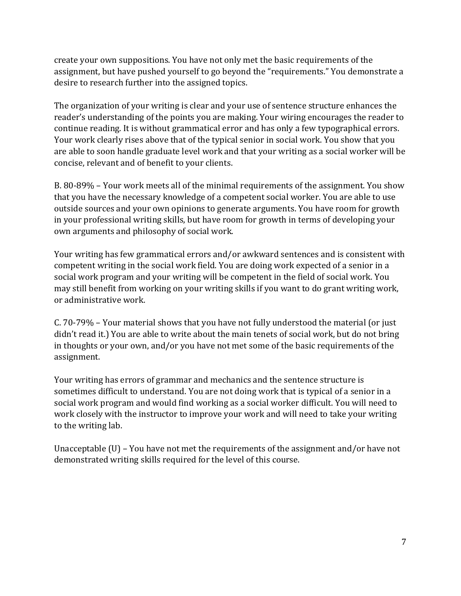create your own suppositions. You have not only met the basic requirements of the assignment, but have pushed yourself to go beyond the "requirements." You demonstrate a desire to research further into the assigned topics.

The organization of your writing is clear and your use of sentence structure enhances the reader's understanding of the points you are making. Your wiring encourages the reader to continue reading. It is without grammatical error and has only a few typographical errors. Your work clearly rises above that of the typical senior in social work. You show that you are able to soon handle graduate level work and that your writing as a social worker will be concise, relevant and of benefit to your clients.

B. 80-89% – Your work meets all of the minimal requirements of the assignment. You show that you have the necessary knowledge of a competent social worker. You are able to use outside sources and your own opinions to generate arguments. You have room for growth in your professional writing skills, but have room for growth in terms of developing your own arguments and philosophy of social work.

Your writing has few grammatical errors and/or awkward sentences and is consistent with competent writing in the social work field. You are doing work expected of a senior in a social work program and your writing will be competent in the field of social work. You may still benefit from working on your writing skills if you want to do grant writing work, or administrative work.

C. 70-79% – Your material shows that you have not fully understood the material (or just didn't read it.) You are able to write about the main tenets of social work, but do not bring in thoughts or your own, and/or you have not met some of the basic requirements of the assignment.

Your writing has errors of grammar and mechanics and the sentence structure is sometimes difficult to understand. You are not doing work that is typical of a senior in a social work program and would find working as a social worker difficult. You will need to work closely with the instructor to improve your work and will need to take your writing to the writing lab.

Unacceptable (U) – You have not met the requirements of the assignment and/or have not demonstrated writing skills required for the level of this course.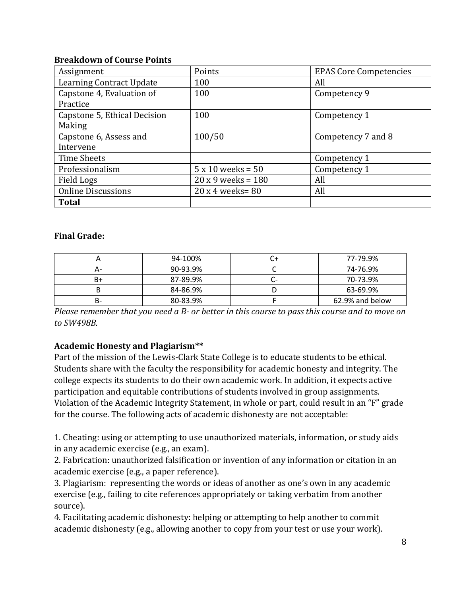#### **Breakdown of Course Points**

| Assignment                      | Points                     | <b>EPAS Core Competencies</b> |
|---------------------------------|----------------------------|-------------------------------|
| <b>Learning Contract Update</b> | 100                        | All                           |
| Capstone 4, Evaluation of       | 100                        | Competency 9                  |
| Practice                        |                            |                               |
| Capstone 5, Ethical Decision    | 100                        | Competency 1                  |
| Making                          |                            |                               |
| Capstone 6, Assess and          | 100/50                     | Competency 7 and 8            |
| Intervene                       |                            |                               |
| Time Sheets                     |                            | Competency 1                  |
| Professionalism                 | $5 \times 10$ weeks = $50$ | Competency 1                  |
| Field Logs                      | $20 x 9$ weeks = 180       | All                           |
| <b>Online Discussions</b>       | $20x4$ weeks= 80           | All                           |
| <b>Total</b>                    |                            |                               |

#### **Final Grade:**

|     | 94-100%  |   | 77-79.9%        |
|-----|----------|---|-----------------|
| ∸ ⊿ | 90-93.9% |   | 74-76.9%        |
| B+  | 87-89.9% | - | 70-73.9%        |
|     | 84-86.9% |   | 63-69.9%        |
| в-  | 80-83.9% |   | 62.9% and below |

*Please remember that you need a B- or better in this course to pass this course and to move on to SW498B.*

### **Academic Honesty and Plagiarism\*\***

Part of the mission of the Lewis-Clark State College is to educate students to be ethical. Students share with the faculty the responsibility for academic honesty and integrity. The college expects its students to do their own academic work. In addition, it expects active participation and equitable contributions of students involved in group assignments. Violation of the Academic Integrity Statement, in whole or part, could result in an "F" grade for the course. The following acts of academic dishonesty are not acceptable:

1. Cheating: using or attempting to use unauthorized materials, information, or study aids in any academic exercise (e.g., an exam).

2. Fabrication: unauthorized falsification or invention of any information or citation in an academic exercise (e.g., a paper reference).

3. Plagiarism: representing the words or ideas of another as one's own in any academic exercise (e.g., failing to cite references appropriately or taking verbatim from another source).

4. Facilitating academic dishonesty: helping or attempting to help another to commit academic dishonesty (e.g., allowing another to copy from your test or use your work).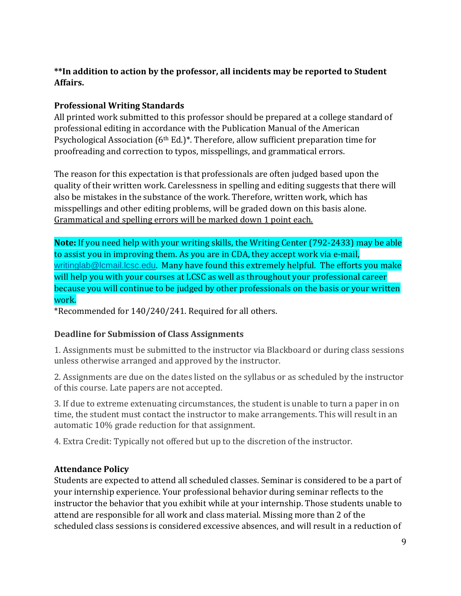# **\*\*In addition to action by the professor, all incidents may be reported to Student Affairs.**

## **Professional Writing Standards**

All printed work submitted to this professor should be prepared at a college standard of professional editing in accordance with the Publication Manual of the American Psychological Association (6<sup>th</sup> Ed.)<sup>\*</sup>. Therefore, allow sufficient preparation time for proofreading and correction to typos, misspellings, and grammatical errors.

The reason for this expectation is that professionals are often judged based upon the quality of their written work. Carelessness in spelling and editing suggests that there will also be mistakes in the substance of the work. Therefore, written work, which has misspellings and other editing problems, will be graded down on this basis alone. Grammatical and spelling errors will be marked down 1 point each.

**Note:** If you need help with your writing skills, the Writing Center (792-2433) may be able to assist you in improving them. As you are in CDA, they accept work via e-mail, [writinglab@lcmail.lcsc.edu](mailto:writinglab@lcmail.lcsc.edu). Many have found this extremely helpful. The efforts you make will help you with your courses at LCSC as well as throughout your professional career because you will continue to be judged by other professionals on the basis or your written work.

\*Recommended for 140/240/241. Required for all others.

### **Deadline for Submission of Class Assignments**

1. Assignments must be submitted to the instructor via Blackboard or during class sessions unless otherwise arranged and approved by the instructor.

2. Assignments are due on the dates listed on the syllabus or as scheduled by the instructor of this course. Late papers are not accepted.

3. If due to extreme extenuating circumstances, the student is unable to turn a paper in on time, the student must contact the instructor to make arrangements. This will result in an automatic 10% grade reduction for that assignment.

4. Extra Credit: Typically not offered but up to the discretion of the instructor.

### **Attendance Policy**

Students are expected to attend all scheduled classes. Seminar is considered to be a part of your internship experience. Your professional behavior during seminar reflects to the instructor the behavior that you exhibit while at your internship. Those students unable to attend are responsible for all work and class material. Missing more than 2 of the scheduled class sessions is considered excessive absences, and will result in a reduction of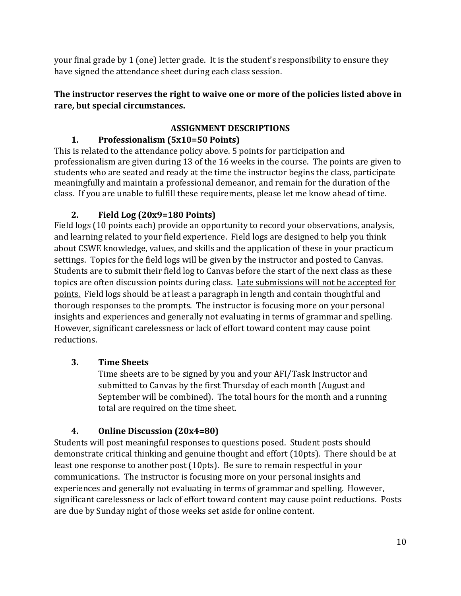your final grade by 1 (one) letter grade. It is the student's responsibility to ensure they have signed the attendance sheet during each class session.

### **The instructor reserves the right to waive one or more of the policies listed above in rare, but special circumstances.**

# **ASSIGNMENT DESCRIPTIONS**

# **1. Professionalism (5x10=50 Points)**

This is related to the attendance policy above. 5 points for participation and professionalism are given during 13 of the 16 weeks in the course. The points are given to students who are seated and ready at the time the instructor begins the class, participate meaningfully and maintain a professional demeanor, and remain for the duration of the class. If you are unable to fulfill these requirements, please let me know ahead of time.

# **2. Field Log (20x9=180 Points)**

Field logs (10 points each) provide an opportunity to record your observations, analysis, and learning related to your field experience. Field logs are designed to help you think about CSWE knowledge, values, and skills and the application of these in your practicum settings. Topics for the field logs will be given by the instructor and posted to Canvas. Students are to submit their field log to Canvas before the start of the next class as these topics are often discussion points during class. Late submissions will not be accepted for points. Field logs should be at least a paragraph in length and contain thoughtful and thorough responses to the prompts. The instructor is focusing more on your personal insights and experiences and generally not evaluating in terms of grammar and spelling. However, significant carelessness or lack of effort toward content may cause point reductions.

# **3. Time Sheets**

Time sheets are to be signed by you and your AFI/Task Instructor and submitted to Canvas by the first Thursday of each month (August and September will be combined). The total hours for the month and a running total are required on the time sheet.

# **4. Online Discussion (20x4=80)**

Students will post meaningful responses to questions posed. Student posts should demonstrate critical thinking and genuine thought and effort (10pts). There should be at least one response to another post (10pts). Be sure to remain respectful in your communications. The instructor is focusing more on your personal insights and experiences and generally not evaluating in terms of grammar and spelling. However, significant carelessness or lack of effort toward content may cause point reductions.Posts are due by Sunday night of those weeks set aside for online content.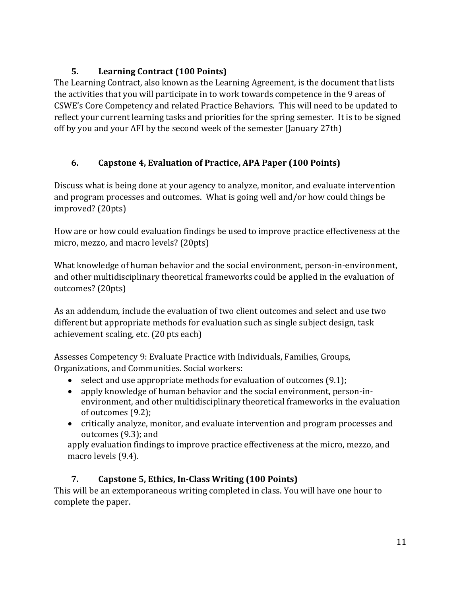# **5. Learning Contract (100 Points)**

The Learning Contract, also known as the Learning Agreement, is the document that lists the activities that you will participate in to work towards competence in the 9 areas of CSWE's Core Competency and related Practice Behaviors. This will need to be updated to reflect your current learning tasks and priorities for the spring semester. It is to be signed off by you and your AFI by the second week of the semester (January 27th)

# **6. Capstone 4, Evaluation of Practice, APA Paper (100 Points)**

Discuss what is being done at your agency to analyze, monitor, and evaluate intervention and program processes and outcomes. What is going well and/or how could things be improved? (20pts)

How are or how could evaluation findings be used to improve practice effectiveness at the micro, mezzo, and macro levels? (20pts)

What knowledge of human behavior and the social environment, person-in-environment, and other multidisciplinary theoretical frameworks could be applied in the evaluation of outcomes? (20pts)

As an addendum, include the evaluation of two client outcomes and select and use two different but appropriate methods for evaluation such as single subject design, task achievement scaling, etc. (20 pts each)

Assesses Competency 9: Evaluate Practice with Individuals, Families, Groups, Organizations, and Communities. Social workers:

- select and use appropriate methods for evaluation of outcomes (9.1);
- apply knowledge of human behavior and the social environment, person-inenvironment, and other multidisciplinary theoretical frameworks in the evaluation of outcomes (9.2);
- critically analyze, monitor, and evaluate intervention and program processes and outcomes (9.3); and

apply evaluation findings to improve practice effectiveness at the micro, mezzo, and macro levels (9.4).

# **7. Capstone 5, Ethics, In-Class Writing (100 Points)**

This will be an extemporaneous writing completed in class. You will have one hour to complete the paper.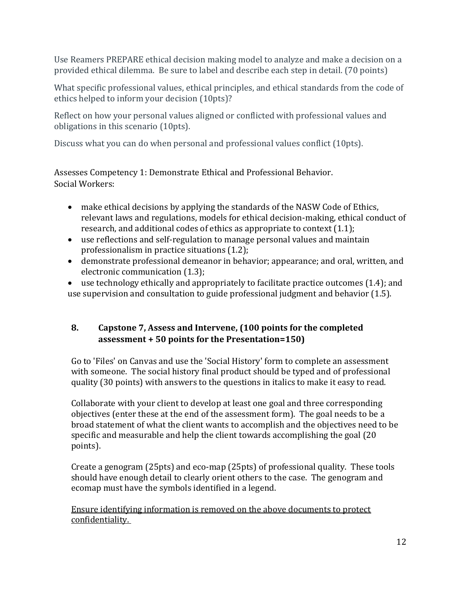Use Reamers PREPARE ethical decision making model to analyze and make a decision on a provided ethical dilemma. Be sure to label and describe each step in detail. (70 points)

What specific professional values, ethical principles, and ethical standards from the code of ethics helped to inform your decision (10pts)?

Reflect on how your personal values aligned or conflicted with professional values and obligations in this scenario (10pts).

Discuss what you can do when personal and professional values conflict (10pts).

Assesses Competency 1: Demonstrate Ethical and Professional Behavior. Social Workers:

- make ethical decisions by applying the standards of the NASW Code of Ethics, relevant laws and regulations, models for ethical decision-making, ethical conduct of research, and additional codes of ethics as appropriate to context (1.1);
- use reflections and self-regulation to manage personal values and maintain professionalism in practice situations (1.2);
- demonstrate professional demeanor in behavior; appearance; and oral, written, and electronic communication (1.3);
- use technology ethically and appropriately to facilitate practice outcomes (1.4); and use supervision and consultation to guide professional judgment and behavior (1.5).

# **8. Capstone 7, Assess and Intervene, (100 points for the completed assessment + 50 points for the Presentation=150)**

Go to 'Files' on Canvas and use the 'Social History' form to complete an assessment with someone. The social history final product should be typed and of professional quality (30 points) with answers to the questions in italics to make it easy to read.

Collaborate with your client to develop at least one goal and three corresponding objectives (enter these at the end of the assessment form). The goal needs to be a broad statement of what the client wants to accomplish and the objectives need to be specific and measurable and help the client towards accomplishing the goal (20 points).

Create a genogram (25pts) and eco-map (25pts) of professional quality. These tools should have enough detail to clearly orient others to the case. The genogram and ecomap must have the symbols identified in a legend.

Ensure identifying information is removed on the above documents to protect confidentiality.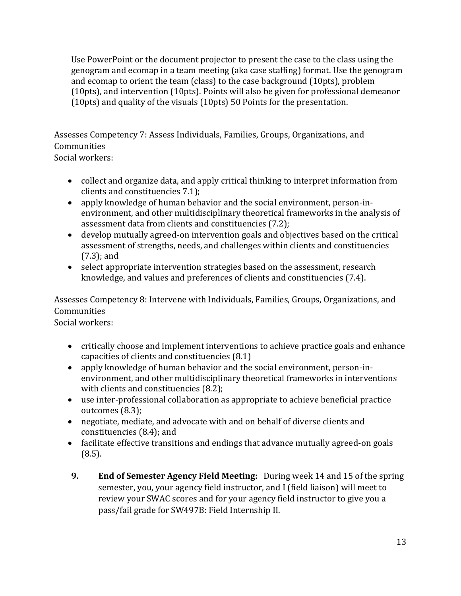Use PowerPoint or the document projector to present the case to the class using the genogram and ecomap in a team meeting (aka case staffing) format. Use the genogram and ecomap to orient the team (class) to the case background (10pts), problem (10pts), and intervention (10pts). Points will also be given for professional demeanor (10pts) and quality of the visuals (10pts) 50 Points for the presentation.

Assesses Competency 7: Assess Individuals, Families, Groups, Organizations, and **Communities** 

Social workers:

- collect and organize data, and apply critical thinking to interpret information from clients and constituencies 7.1);
- apply knowledge of human behavior and the social environment, person-inenvironment, and other multidisciplinary theoretical frameworks in the analysis of assessment data from clients and constituencies (7.2);
- develop mutually agreed-on intervention goals and objectives based on the critical assessment of strengths, needs, and challenges within clients and constituencies (7.3); and
- select appropriate intervention strategies based on the assessment, research knowledge, and values and preferences of clients and constituencies (7.4).

Assesses Competency 8: Intervene with Individuals, Families, Groups, Organizations, and Communities

Social workers:

- critically choose and implement interventions to achieve practice goals and enhance capacities of clients and constituencies (8.1)
- apply knowledge of human behavior and the social environment, person-inenvironment, and other multidisciplinary theoretical frameworks in interventions with clients and constituencies (8.2);
- use inter-professional collaboration as appropriate to achieve beneficial practice outcomes (8.3);
- negotiate, mediate, and advocate with and on behalf of diverse clients and constituencies (8.4); and
- facilitate effective transitions and endings that advance mutually agreed-on goals (8.5).
- **9. End of Semester Agency Field Meeting:** During week 14 and 15 of the spring semester, you, your agency field instructor, and I (field liaison) will meet to review your SWAC scores and for your agency field instructor to give you a pass/fail grade for SW497B: Field Internship II.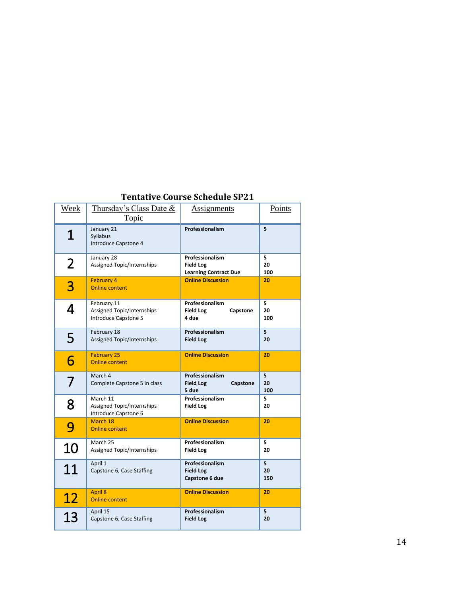| Week | Thursday's Class Date &<br>Topic                                         | <b>Assignments</b>                                                  | Points         |
|------|--------------------------------------------------------------------------|---------------------------------------------------------------------|----------------|
| 1    | January 21<br>Syllabus<br>Introduce Capstone 4                           | Professionalism                                                     | 5              |
| 2    | January 28<br><b>Assigned Topic/Internships</b>                          | Professionalism<br><b>Field Log</b><br><b>Learning Contract Due</b> | 5<br>20<br>100 |
| 3    | <b>February 4</b><br><b>Online content</b>                               | <b>Online Discussion</b>                                            | 20             |
| 4    | February 11<br>Assigned Topic/Internships<br><b>Introduce Capstone 5</b> | Professionalism<br><b>Field Log</b><br>Capstone<br>4 due            | 5<br>20<br>100 |
| 5    | February 18<br><b>Assigned Topic/Internships</b>                         | Professionalism<br><b>Field Log</b>                                 | 5<br>20        |
| 6    | <b>February 25</b><br><b>Online content</b>                              | <b>Online Discussion</b>                                            | 20             |
|      | March 4<br>Complete Capstone 5 in class                                  | Professionalism<br><b>Field Log</b><br>Capstone<br>5 due            | 5<br>20<br>100 |
| 8    | March 11<br>Assigned Topic/Internships<br>Introduce Capstone 6           | Professionalism<br><b>Field Log</b>                                 | 5<br>20        |
| 9    | March 18<br><b>Online content</b>                                        | <b>Online Discussion</b>                                            | 20             |
| 10   | March 25<br>Assigned Topic/Internships                                   | Professionalism<br><b>Field Log</b>                                 | 5<br>20        |
| 11   | April 1<br>Capstone 6, Case Staffing                                     | Professionalism<br><b>Field Log</b><br>Capstone 6 due               | 5<br>20<br>150 |
| 12   | <b>April 8</b><br><b>Online content</b>                                  | <b>Online Discussion</b>                                            | 20             |
| 13   | April 15<br>Capstone 6, Case Staffing                                    | Professionalism<br><b>Field Log</b>                                 | 5<br>20        |

### **Tentative Course Schedule SP21**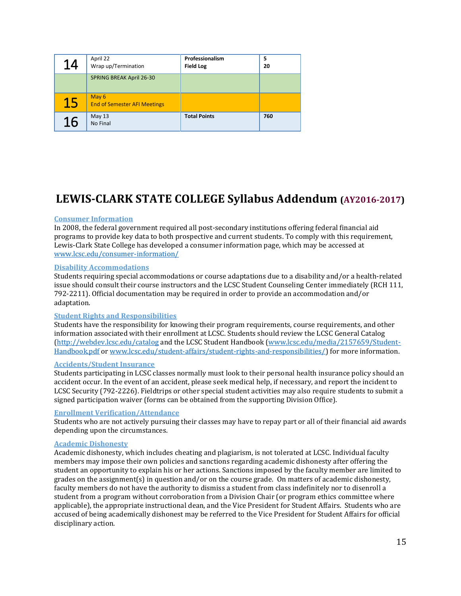| 14 | April 22<br>Wrap up/Termination              | Professionalism<br><b>Field Log</b> | 5<br>20 |
|----|----------------------------------------------|-------------------------------------|---------|
|    | <b>SPRING BREAK April 26-30</b>              |                                     |         |
| 15 | May 6<br><b>End of Semester AFI Meetings</b> |                                     |         |
| 16 | May 13<br>No Final                           | <b>Total Points</b>                 | 760     |

# **LEWIS-CLARK STATE COLLEGE Syllabus Addendum (AY2016-2017)**

#### **Consumer Information**

In 2008, the federal government required all post-secondary institutions offering federal financial aid programs to provide key data to both prospective and current students. To comply with this requirement, Lewis-Clark State College has developed a consumer information page, which may be accessed at [www.lcsc.edu/consumer-information/](http://www.lcsc.edu/consumer-information/)

#### **Disability Accommodations**

Students requiring special accommodations or course adaptations due to a disability and/or a health-related issue should consult their course instructors and the LCSC Student Counseling Center immediately (RCH 111, 792-2211). Official documentation may be required in order to provide an accommodation and/or adaptation.

#### **Student Rights and Responsibilities**

Students have the responsibility for knowing their program requirements, course requirements, and other information associated with their enrollment at LCSC. Students should review the LCSC General Catalog [\(http://webdev.lcsc.edu/catalog](http://webdev.lcsc.edu/catalog) and the LCSC Student Handbook [\(www.lcsc.edu/media/2157659/Student-](http://www.lcsc.edu/media/2157659/Student-Handbook.pdf)[Handbook.pdf](http://www.lcsc.edu/media/2157659/Student-Handbook.pdf) or [www.lcsc.edu/student-affairs/student-rights-and-responsibilities/\)](http://www.lcsc.edu/student-affairs/student-rights-and-responsibilities/) for more information.

#### **Accidents/Student Insurance**

Students participating in LCSC classes normally must look to their personal health insurance policy should an accident occur. In the event of an accident, please seek medical help, if necessary, and report the incident to LCSC Security (792-2226). Fieldtrips or other special student activities may also require students to submit a signed participation waiver (forms can be obtained from the supporting Division Office).

#### **Enrollment Verification/Attendance**

Students who are not actively pursuing their classes may have to repay part or all of their financial aid awards depending upon the circumstances.

#### **Academic Dishonesty**

Academic dishonesty, which includes cheating and plagiarism, is not tolerated at LCSC. Individual faculty members may impose their own policies and sanctions regarding academic dishonesty after offering the student an opportunity to explain his or her actions. Sanctions imposed by the faculty member are limited to grades on the assignment(s) in question and/or on the course grade. On matters of academic dishonesty, faculty members do not have the authority to dismiss a student from class indefinitely nor to disenroll a student from a program without corroboration from a Division Chair (or program ethics committee where applicable), the appropriate instructional dean, and the Vice President for Student Affairs. Students who are accused of being academically dishonest may be referred to the Vice President for Student Affairs for official disciplinary action.